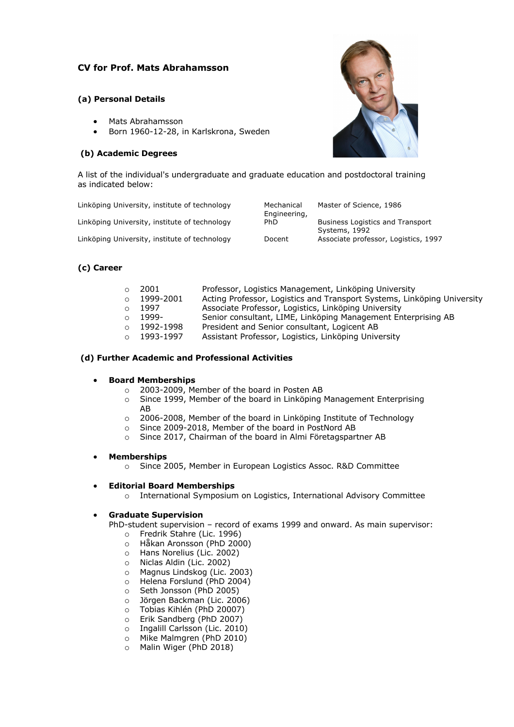## **CV for Prof. Mats Abrahamsson**

## **(a) Personal Details**

- Mats Abrahamsson
- Born 1960-12-28, in Karlskrona, Sweden

## **(b) Academic Degrees**



A list of the individual's undergraduate and graduate education and postdoctoral training as indicated below:

| Linköping University, institute of technology | Mechanical<br>Engineering, | Master of Science, 1986                                  |
|-----------------------------------------------|----------------------------|----------------------------------------------------------|
| Linköping University, institute of technology | PhD.                       | <b>Business Logistics and Transport</b><br>Systems, 1992 |
| Linköping University, institute of technology | Docent                     | Associate professor, Logistics, 1997                     |

## **(c) Career**

|          | 2001      | Professor, Logistics Management, Linköping University                   |
|----------|-----------|-------------------------------------------------------------------------|
| $\Omega$ | 1999-2001 | Acting Professor, Logistics and Transport Systems, Linköping University |
|          | 1997      | Associate Professor, Logistics, Linköping University                    |
|          | 1999-     | Senior consultant, LIME, Linköping Management Enterprising AB           |
|          | 1992-1998 | President and Senior consultant, Logicent AB                            |
|          | 1993-1997 | Assistant Professor, Logistics, Linköping University                    |

## **(d) Further Academic and Professional Activities**

## • **Board Memberships**

- o 2003-2009, Member of the board in Posten AB
- o Since 1999, Member of the board in Linköping Management Enterprising AB
- o 2006-2008, Member of the board in Linköping Institute of Technology
- o Since 2009-2018, Member of the board in PostNord AB
- o Since 2017, Chairman of the board in Almi Företagspartner AB

#### • **Memberships**

o Since 2005, Member in European Logistics Assoc. R&D Committee

#### • **Editorial Board Memberships**

o International Symposium on Logistics, International Advisory Committee

## • **Graduate Supervision**

PhD-student supervision – record of exams 1999 and onward. As main supervisor:

- o Fredrik Stahre (Lic. 1996)
- o Håkan Aronsson (PhD 2000)
- o Hans Norelius (Lic. 2002)
- o Niclas Aldin (Lic. 2002)
- o Magnus Lindskog (Lic. 2003)
- o Helena Forslund (PhD 2004)
- o Seth Jonsson (PhD 2005)
- o Jörgen Backman (Lic. 2006)
- o Tobias Kihlén (PhD 20007)
- o Erik Sandberg (PhD 2007)
- o Ingalill Carlsson (Lic. 2010)
- o Mike Malmgren (PhD 2010)
- o Malin Wiger (PhD 2018)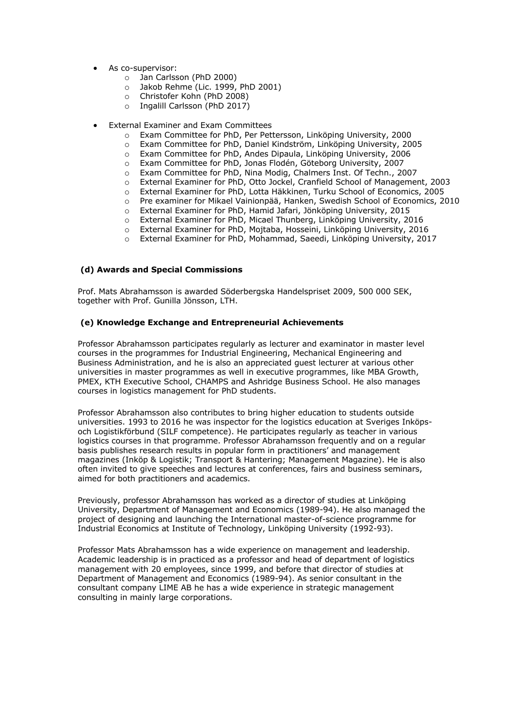- As co-supervisor:
	- o Jan Carlsson (PhD 2000)
	- o Jakob Rehme (Lic. 1999, PhD 2001)
	- o Christofer Kohn (PhD 2008)
	- o Ingalill Carlsson (PhD 2017)
- External Examiner and Exam Committees
	- o Exam Committee for PhD, Per Pettersson, Linköping University, 2000<br>
	o Exam Committee for PhD, Daniel Kindström, Linköping University. 20
	- o Exam Committee for PhD, Daniel Kindström, Linköping University, 2005<br>
	o Exam Committee for PhD, Andes Dipaula, Linköping University, 2006
	- Exam Committee for PhD, Andes Dipaula, Linköping University, 2006
	- o Exam Committee for PhD, Jonas Flodén, Göteborg University, 2007
	- o Exam Committee for PhD, Nina Modig, Chalmers Inst. Of Techn., 2007
	- o External Examiner for PhD, Otto Jockel, Cranfield School of Management, 2003
	- o External Examiner for PhD, Lotta Häkkinen, Turku School of Economics, 2005
	- o Pre examiner for Mikael Vainionpää, Hanken, Swedish School of Economics, 2010
	- o External Examiner for PhD, Hamid Jafari, Jönköping University, 2015
	- o External Examiner for PhD, Micael Thunberg, Linköping University, 2016
	- o External Examiner for PhD, Mojtaba, Hosseini, Linköping University, 2016
	- o External Examiner for PhD, Mohammad, Saeedi, Linköping University, 2017

## **(d) Awards and Special Commissions**

Prof. Mats Abrahamsson is awarded Söderbergska Handelspriset 2009, 500 000 SEK, together with Prof. Gunilla Jönsson, LTH.

#### **(e) Knowledge Exchange and Entrepreneurial Achievements**

Professor Abrahamsson participates regularly as lecturer and examinator in master level courses in the programmes for Industrial Engineering, Mechanical Engineering and Business Administration, and he is also an appreciated guest lecturer at various other universities in master programmes as well in executive programmes, like MBA Growth, PMEX, KTH Executive School, CHAMPS and Ashridge Business School. He also manages courses in logistics management for PhD students.

Professor Abrahamsson also contributes to bring higher education to students outside universities. 1993 to 2016 he was inspector for the logistics education at Sveriges Inköpsoch Logistikförbund (SILF competence). He participates regularly as teacher in various logistics courses in that programme. Professor Abrahamsson frequently and on a regular basis publishes research results in popular form in practitioners' and management magazines (Inköp & Logistik; Transport & Hantering; Management Magazine). He is also often invited to give speeches and lectures at conferences, fairs and business seminars, aimed for both practitioners and academics.

Previously, professor Abrahamsson has worked as a director of studies at Linköping University, Department of Management and Economics (1989-94). He also managed the project of designing and launching the International master-of-science programme for Industrial Economics at Institute of Technology, Linköping University (1992-93).

Professor Mats Abrahamsson has a wide experience on management and leadership. Academic leadership is in practiced as a professor and head of department of logistics management with 20 employees, since 1999, and before that director of studies at Department of Management and Economics (1989-94). As senior consultant in the consultant company LIME AB he has a wide experience in strategic management consulting in mainly large corporations.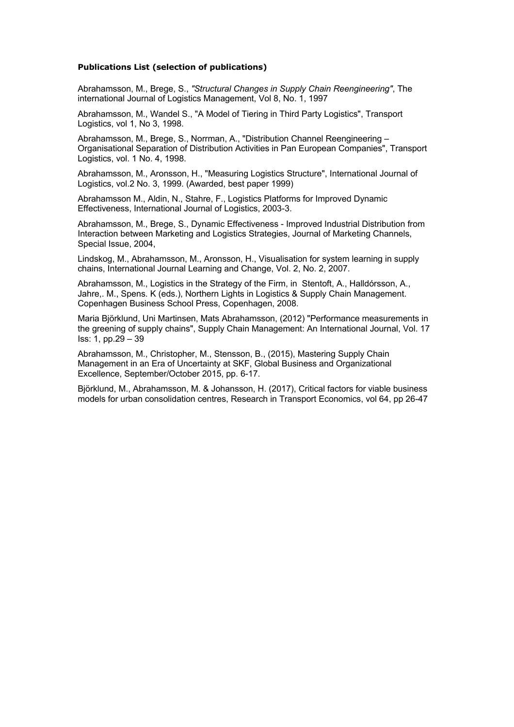## **Publications List (selection of publications)**

Abrahamsson, M., Brege, S., *"Structural Changes in Supply Chain Reengineering"*, The international Journal of Logistics Management, Vol 8, No. 1, 1997

Abrahamsson, M., Wandel S., "A Model of Tiering in Third Party Logistics", Transport Logistics, vol 1, No 3, 1998.

Abrahamsson, M., Brege, S., Norrman, A., "Distribution Channel Reengineering – Organisational Separation of Distribution Activities in Pan European Companies", Transport Logistics, vol. 1 No. 4, 1998.

Abrahamsson, M., Aronsson, H., "Measuring Logistics Structure", International Journal of Logistics, vol.2 No. 3, 1999. (Awarded, best paper 1999)

Abrahamsson M., Aldin, N., Stahre, F., Logistics Platforms for Improved Dynamic Effectiveness, International Journal of Logistics, 2003-3.

Abrahamsson, M., Brege, S., Dynamic Effectiveness - Improved Industrial Distribution from Interaction between Marketing and Logistics Strategies, Journal of Marketing Channels, Special Issue, 2004,

Lindskog, M., Abrahamsson, M., Aronsson, H., Visualisation for system learning in supply chains, International Journal Learning and Change, Vol. 2, No. 2, 2007.

Abrahamsson, M., Logistics in the Strategy of the Firm, in Stentoft, A., Halldórsson, A., Jahre,. M., Spens. K (eds.), Northern Lights in Logistics & Supply Chain Management. Copenhagen Business School Press, Copenhagen, 2008.

Maria Björklund, Uni Martinsen, Mats Abrahamsson, (2012) "Performance measurements in the greening of supply chains", Supply Chain Management: An International Journal, Vol. 17 Iss: 1, pp.29 – 39

Abrahamsson, M., Christopher, M., Stensson, B., (2015), Mastering Supply Chain Management in an Era of Uncertainty at SKF, Global Business and Organizational Excellence, September/October 2015, pp. 6-17.

Björklund, M., Abrahamsson, M. & Johansson, H. (2017), Critical factors for viable business models for urban consolidation centres, Research in Transport Economics, vol 64, pp 26-47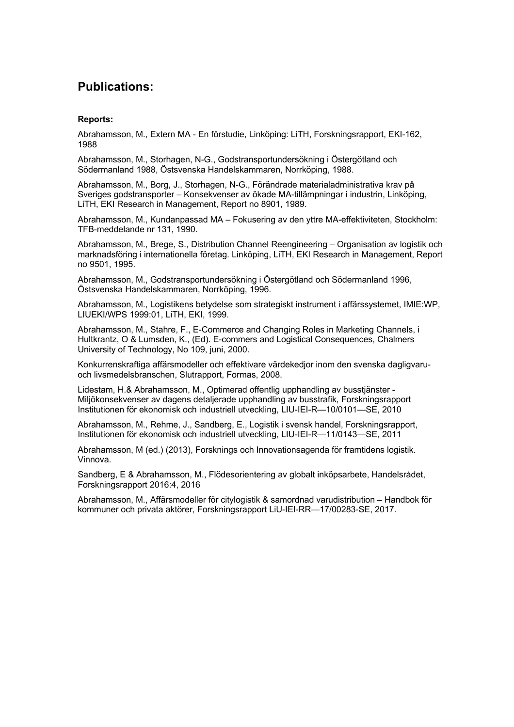# **Publications:**

## **Reports:**

Abrahamsson, M., Extern MA - En förstudie, Linköping: LiTH, Forskningsrapport, EKI-162, 1988

Abrahamsson, M., Storhagen, N-G., Godstransportundersökning i Östergötland och Södermanland 1988, Östsvenska Handelskammaren, Norrköping, 1988.

Abrahamsson, M., Borg, J., Storhagen, N-G., Förändrade materialadministrativa krav på Sveriges godstransporter – Konsekvenser av ökade MA-tillämpningar i industrin, Linköping, LiTH, EKI Research in Management, Report no 8901, 1989.

Abrahamsson, M., Kundanpassad MA – Fokusering av den yttre MA-effektiviteten, Stockholm: TFB-meddelande nr 131, 1990.

Abrahamsson, M., Brege, S., Distribution Channel Reengineering – Organisation av logistik och marknadsföring i internationella företag. Linköping, LiTH, EKI Research in Management, Report no 9501, 1995.

Abrahamsson, M., Godstransportundersökning i Östergötland och Södermanland 1996, Östsvenska Handelskammaren, Norrköping, 1996.

Abrahamsson, M., Logistikens betydelse som strategiskt instrument i affärssystemet, IMIE:WP, LIUEKI/WPS 1999:01, LiTH, EKI, 1999.

Abrahamsson, M., Stahre, F., E-Commerce and Changing Roles in Marketing Channels, i Hultkrantz, O & Lumsden, K., (Ed). E-commers and Logistical Consequences, Chalmers University of Technology, No 109, juni, 2000.

Konkurrenskraftiga affärsmodeller och effektivare värdekedjor inom den svenska dagligvaruoch livsmedelsbranschen, Slutrapport, Formas, 2008.

Lidestam, H.& Abrahamsson, M., Optimerad offentlig upphandling av busstjänster - Miljökonsekvenser av dagens detaljerade upphandling av busstrafik, Forskningsrapport Institutionen för ekonomisk och industriell utveckling, LIU-IEI-R—10/0101—SE, 2010

Abrahamsson, M., Rehme, J., Sandberg, E., Logistik i svensk handel, Forskningsrapport, Institutionen för ekonomisk och industriell utveckling, LIU-IEI-R—11/0143—SE, 2011

Abrahamsson, M (ed.) (2013), Forsknings och Innovationsagenda för framtidens logistik. Vinnova.

Sandberg, E & Abrahamsson, M., Flödesorientering av globalt inköpsarbete, Handelsrådet, Forskningsrapport 2016:4, 2016

Abrahamsson, M., Affärsmodeller för citylogistik & samordnad varudistribution – Handbok för kommuner och privata aktörer, Forskningsrapport LiU-IEI-RR—17/00283-SE, 2017.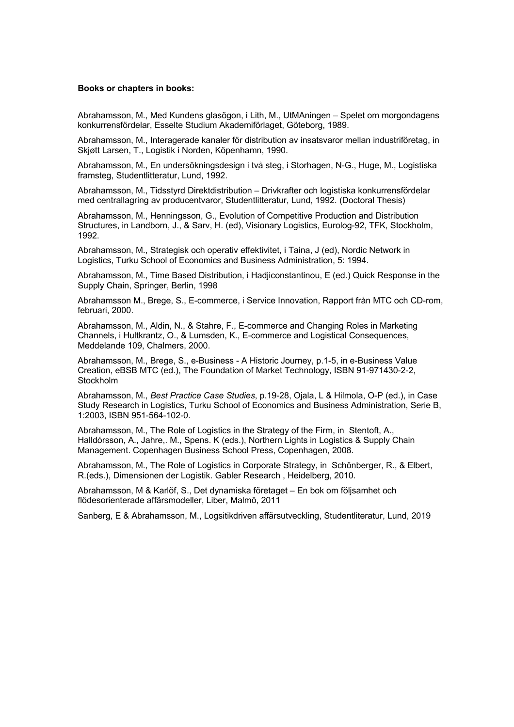#### **Books or chapters in books:**

Abrahamsson, M., Med Kundens glasögon, i Lith, M., UtMAningen – Spelet om morgondagens konkurrensfördelar, Esselte Studium Akademiförlaget, Göteborg, 1989.

Abrahamsson, M., Interagerade kanaler för distribution av insatsvaror mellan industriföretag, in Skjøtt Larsen, T., Logistik i Norden, Köpenhamn, 1990.

Abrahamsson, M., En undersökningsdesign i två steg, i Storhagen, N-G., Huge, M., Logistiska framsteg, Studentlitteratur, Lund, 1992.

Abrahamsson, M., Tidsstyrd Direktdistribution – Drivkrafter och logistiska konkurrensfördelar med centrallagring av producentvaror, Studentlitteratur, Lund, 1992. (Doctoral Thesis)

Abrahamsson, M., Henningsson, G., Evolution of Competitive Production and Distribution Structures, in Landborn, J., & Sarv, H. (ed), Visionary Logistics, Eurolog-92, TFK, Stockholm, 1992.

Abrahamsson, M., Strategisk och operativ effektivitet, i Taina, J (ed), Nordic Network in Logistics, Turku School of Economics and Business Administration, 5: 1994.

Abrahamsson, M., Time Based Distribution, i Hadjiconstantinou, E (ed.) Quick Response in the Supply Chain, Springer, Berlin, 1998

Abrahamsson M., Brege, S., E-commerce, i Service Innovation, Rapport från MTC och CD-rom, februari, 2000.

Abrahamsson, M., Aldin, N., & Stahre, F., E-commerce and Changing Roles in Marketing Channels, i Hultkrantz, O., & Lumsden, K., E-commerce and Logistical Consequences, Meddelande 109, Chalmers, 2000.

Abrahamsson, M., Brege, S., e-Business - A Historic Journey, p.1-5, in e-Business Value Creation, eBSB MTC (ed.), The Foundation of Market Technology, ISBN 91-971430-2-2, Stockholm

Abrahamsson, M., *Best Practice Case Studies*, p.19-28, Ojala, L & Hilmola, O-P (ed.), in Case Study Research in Logistics, Turku School of Economics and Business Administration, Serie B, 1:2003, ISBN 951-564-102-0.

Abrahamsson, M., The Role of Logistics in the Strategy of the Firm, in Stentoft, A., Halldórsson, A., Jahre,. M., Spens. K (eds.), Northern Lights in Logistics & Supply Chain Management. Copenhagen Business School Press, Copenhagen, 2008.

Abrahamsson, M., The Role of Logistics in Corporate Strategy, in Schönberger, R., & Elbert, R.(eds.), Dimensionen der Logistik. Gabler Research , Heidelberg, 2010.

Abrahamsson, M & Karlöf, S., Det dynamiska företaget – En bok om följsamhet och flödesorienterade affärsmodeller, Liber, Malmö, 2011

Sanberg, E & Abrahamsson, M., Logsitikdriven affärsutveckling, Studentliteratur, Lund, 2019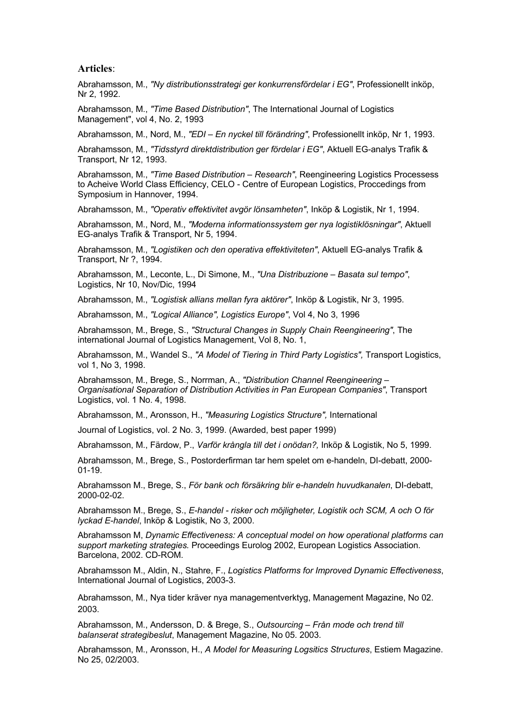## **Articles**:

Abrahamsson, M., *"Ny distributionsstrategi ger konkurrensfördelar i EG"*, Professionellt inköp, Nr 2, 1992.

Abrahamsson, M., *"Time Based Distribution"*, The International Journal of Logistics Management", vol 4, No. 2, 1993

Abrahamsson, M., Nord, M., *"EDI – En nyckel till förändring"*, Professionellt inköp, Nr 1, 1993.

Abrahamsson, M., *"Tidsstyrd direktdistribution ger fördelar i EG"*, Aktuell EG-analys Trafik & Transport, Nr 12, 1993.

Abrahamsson, M., *"Time Based Distribution – Research"*, Reengineering Logistics Processess to Acheive World Class Efficiency, CELO - Centre of European Logistics, Proccedings from Symposium in Hannover, 1994.

Abrahamsson, M., *"Operativ effektivitet avgör lönsamheten"*, Inköp & Logistik, Nr 1, 1994.

Abrahamsson, M., Nord, M., *"Moderna informationssystem ger nya logistiklösningar"*, Aktuell EG-analys Trafik & Transport, Nr 5, 1994.

Abrahamsson, M., *"Logistiken och den operativa effektiviteten"*, Aktuell EG-analys Trafik & Transport, Nr ?, 1994.

Abrahamsson, M., Leconte, L., Di Simone, M., *"Una Distribuzione – Basata sul tempo"*, Logistics, Nr 10, Nov/Dic, 1994

Abrahamsson, M., *"Logistisk allians mellan fyra aktörer"*, Inköp & Logistik, Nr 3, 1995.

Abrahamsson, M., *"Logical Alliance", Logistics Europe"*, Vol 4, No 3, 1996

Abrahamsson, M., Brege, S., *"Structural Changes in Supply Chain Reengineering"*, The international Journal of Logistics Management, Vol 8, No. 1,

Abrahamsson, M., Wandel S., *"A Model of Tiering in Third Party Logistics",* Transport Logistics, vol 1, No 3, 1998.

Abrahamsson, M., Brege, S., Norrman, A., *"Distribution Channel Reengineering – Organisational Separation of Distribution Activities in Pan European Companies"*, Transport Logistics, vol. 1 No. 4, 1998.

Abrahamsson, M., Aronsson, H., *"Measuring Logistics Structure",* International

Journal of Logistics, vol. 2 No. 3, 1999. (Awarded, best paper 1999)

Abrahamsson, M., Färdow, P., *Varför krångla till det i onödan?,* Inköp & Logistik, No 5, 1999.

Abrahamsson, M., Brege, S., Postorderfirman tar hem spelet om e-handeln, DI-debatt, 2000- 01-19.

Abrahamsson M., Brege, S., *För bank och försäkring blir e-handeln huvudkanalen*, DI-debatt, 2000-02-02.

Abrahamsson M., Brege, S., *E-handel - risker och möjligheter, Logistik och SCM, A och O för lyckad E-handel*, Inköp & Logistik, No 3, 2000.

Abrahamsson M, *Dynamic Effectiveness: A conceptual model on how operational platforms can support marketing strategies.* Proceedings Eurolog 2002, European Logistics Association. Barcelona, 2002. CD-ROM.

Abrahamsson M., Aldin, N., Stahre, F., *Logistics Platforms for Improved Dynamic Effectiveness*, International Journal of Logistics, 2003-3.

Abrahamsson, M., Nya tider kräver nya managementverktyg, Management Magazine, No 02. 2003.

Abrahamsson, M., Andersson, D. & Brege, S., *Outsourcing – Från mode och trend till balanserat strategibeslut*, Management Magazine, No 05. 2003.

Abrahamsson, M., Aronsson, H., *A Model for Measuring Logsitics Structures*, Estiem Magazine. No 25, 02/2003.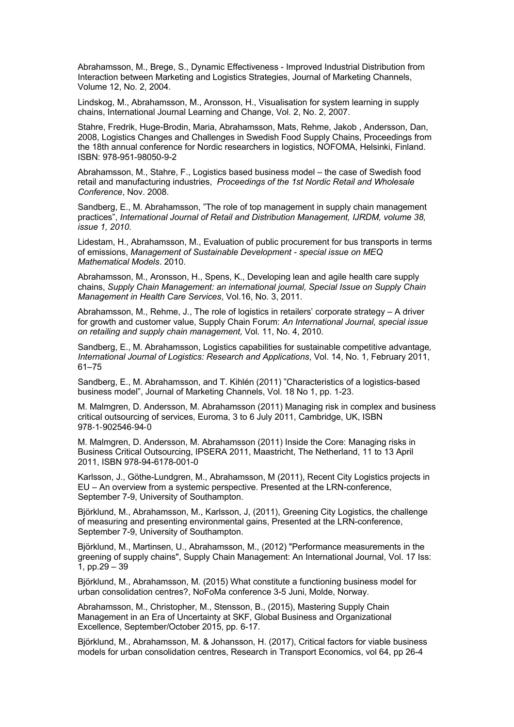Abrahamsson, M., Brege, S., Dynamic Effectiveness - Improved Industrial Distribution from Interaction between Marketing and Logistics Strategies, Journal of Marketing Channels, Volume 12, No. 2, 2004.

Lindskog, M., Abrahamsson, M., Aronsson, H., Visualisation for system learning in supply chains, International Journal Learning and Change, Vol. 2, No. 2, 2007.

Stahre, Fredrik, Huge-Brodin, Maria, Abrahamsson, Mats, Rehme, Jakob , Andersson, Dan, 2008, Logistics Changes and Challenges in Swedish Food Supply Chains, Proceedings from the 18th annual conference for Nordic researchers in logistics, NOFOMA, Helsinki, Finland. ISBN: 978-951-98050-9-2

Abrahamsson, M., Stahre, F., Logistics based business model – the case of Swedish food retail and manufacturing industries, *Proceedings of the 1st Nordic Retail and Wholesale Conference*, Nov. 2008.

Sandberg, E., M. Abrahamsson, "The role of top management in supply chain management practices", *International Journal of Retail and Distribution Management, IJRDM, volume 38, issue 1, 2010.*

Lidestam, H., Abrahamsson, M., Evaluation of public procurement for bus transports in terms of emissions, *Management of Sustainable Development - special issue on MEQ Mathematical Models*. 2010.

Abrahamsson, M., Aronsson, H., Spens, K., Developing lean and agile health care supply chains, *Supply Chain Management: an international journal, Special Issue on Supply Chain Management in Health Care Services*, Vol.16, No. 3, 2011.

Abrahamsson, M., Rehme, J., The role of logistics in retailers' corporate strategy – A driver for growth and customer value, Supply Chain Forum: *An International Journal, special issue on retailing and supply chain management,* Vol. 11, No. 4, 2010.

Sandberg, E., M. Abrahamsson, Logistics capabilities for sustainable competitive advantage*, International Journal of Logistics: Research and Applications*, Vol. 14, No. 1, February 2011, 61–75

Sandberg, E., M. Abrahamsson, and T. Kihlén (2011) "Characteristics of a logistics-based business model", Journal of Marketing Channels, Vol. 18 No 1, pp. 1-23.

M. Malmgren, D. Andersson, M. Abrahamsson (2011) Managing risk in complex and business critical outsourcing of services, Euroma, 3 to 6 July 2011, Cambridge, UK, ISBN 978-1-902546-94-0

M. Malmgren, D. Andersson, M. Abrahamsson (2011) Inside the Core: Managing risks in Business Critical Outsourcing, IPSERA 2011, Maastricht, The Netherland, 11 to 13 April 2011, ISBN 978-94-6178-001-0

Karlsson, J., Göthe-Lundgren, M., Abrahamsson, M (2011), Recent City Logistics projects in EU – An overview from a systemic perspective. Presented at the LRN-conference, September 7-9, University of Southampton.

Björklund, M., Abrahamsson, M., Karlsson, J, (2011), Greening City Logistics, the challenge of measuring and presenting environmental gains, Presented at the LRN-conference, September 7-9, University of Southampton.

Björklund, M., Martinsen, U., Abrahamsson, M., (2012) "Performance measurements in the greening of supply chains", Supply Chain Management: An International Journal, Vol. 17 Iss: 1, pp.29 – 39

Björklund, M., Abrahamsson, M. (2015) What constitute a functioning business model for urban consolidation centres?, NoFoMa conference 3-5 Juni, Molde, Norway.

Abrahamsson, M., Christopher, M., Stensson, B., (2015), Mastering Supply Chain Management in an Era of Uncertainty at SKF, Global Business and Organizational Excellence, September/October 2015, pp. 6-17.

Björklund, M., Abrahamsson, M. & Johansson, H. (2017), Critical factors for viable business models for urban consolidation centres, Research in Transport Economics, vol 64, pp 26-4